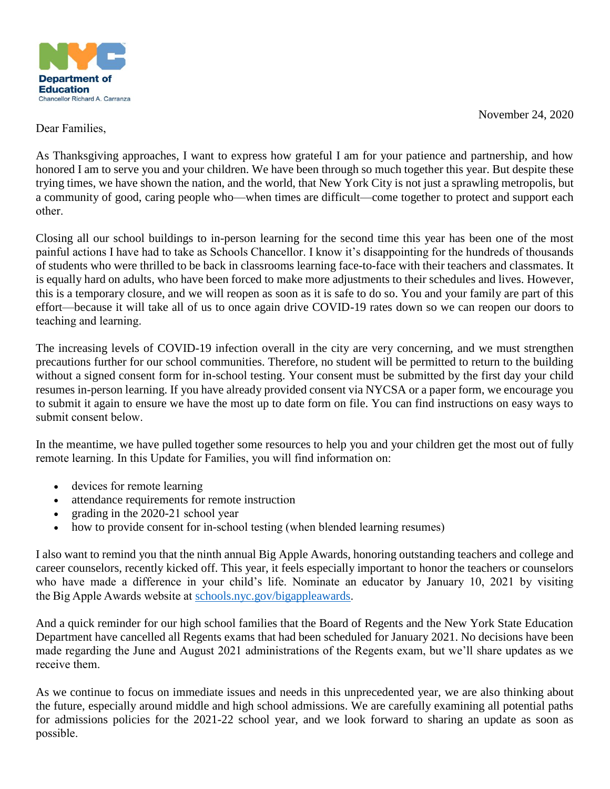

November 24, 2020

Dear Families,     

As Thanksgiving approaches, I want to express how grateful I am for your patience and partnership, and how honored I am to serve you and your children. We have been through so much together this year. But despite these trying times, we have shown the nation, and the world, that New York City is not just a sprawling metropolis, but a community of good, caring people who—when times are difficult—come together to protect and support each other.   

Closing all our school buildings to in-person learning for the second time this year has been one of the most painful actions I have had to take as Schools Chancellor. I know it's disappointing for the hundreds of thousands of students who were thrilled to be back in classrooms learning face-to-face with their teachers and classmates. It is equally hard on adults, who have been forced to make more adjustments to their schedules and lives. However, this is a temporary closure, and we will reopen as soon as it is safe to do so. You and your family are part of this effort—because it will take all of us to once again drive COVID-19 rates down so we can reopen our doors to teaching and learning. 

The increasing levels of COVID-19 infection overall in the city are very concerning, and we must strengthen precautions further for our school communities. Therefore, no student will be permitted to return to the building without a signed consent form for in-school testing. Your consent must be submitted by the first day your child resumes in-person learning. If you have already provided consent via NYCSA or a paper form, we encourage you to submit it again to ensure we have the most up to date form on file. You can find instructions on easy ways to submit consent below. 

In the meantime, we have pulled together some resources to help you and your children get the most out of fully remote learning. In this Update for Families, you will find information on:   

- devices for remote learning
- attendance requirements for remote instruction
- grading in the 2020-21 school year
- how to provide consent for in-school testing (when blended learning resumes)

I also want to remind you that the ninth annual Big Apple Awards, honoring outstanding teachers and college and career counselors, recently kicked off. This year, it feels especially important to honor the teachers or counselors who have made a difference in your child's life. Nominate an educator by January 10, 2021 by visiting the Big Apple Awards website at [schools.nyc.gov/bigappleawards.](http://schools.nyc.gov/bigappleawards) 

And a quick reminder for our high school families that the Board of Regents and the New York State Education Department have cancelled all Regents exams that had been scheduled for January 2021. No decisions have been made regarding the June and August 2021 administrations of the Regents exam, but we'll share updates as we receive them. 

As we continue to focus on immediate issues and needs in this unprecedented year, we are also thinking about the future, especially around middle and high school admissions. We are carefully examining all potential paths for admissions policies for the 2021-22 school year, and we look forward to sharing an update as soon as possible.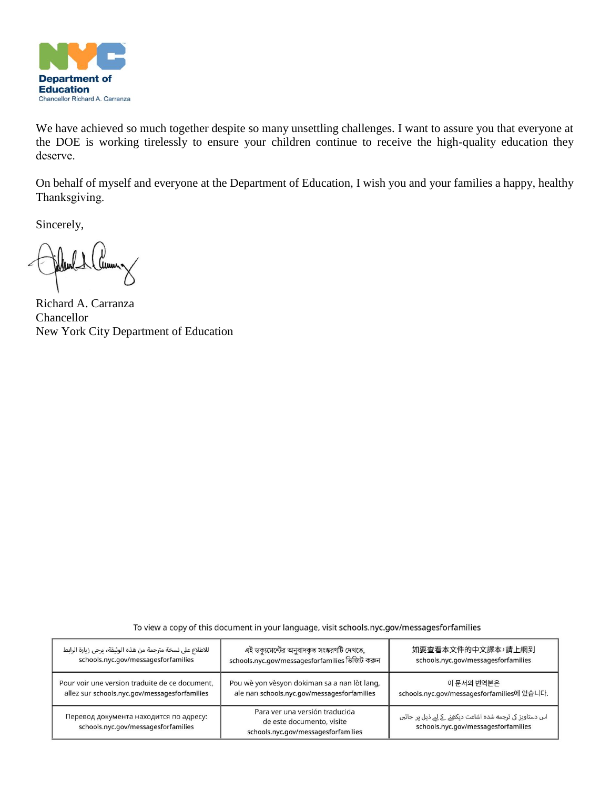

We have achieved so much together despite so many unsettling challenges. I want to assure you that everyone at the DOE is working tirelessly to ensure your children continue to receive the high-quality education they deserve.  

On behalf of myself and everyone at the Department of Education, I wish you and your families a happy, healthy Thanksgiving.  

Sincerely,

unn.

Richard A. Carranza Chancellor New York City Department of Education

| للاطلاع على نسخة مترجمة من هذه الوثيقة، يرجى زيارة الرابط                     | এই ডক্যমেন্টের অনুবাদকৃত সংস্করণটি দেখতে,                                                          | 如要查看本文件的中文譯本,請上網到                                                                               |
|-------------------------------------------------------------------------------|----------------------------------------------------------------------------------------------------|-------------------------------------------------------------------------------------------------|
| schools.nyc.gov/messagesforfamilies                                           | schools.nyc.gov/messagesforfamilies ভিজিট করুন                                                     | schools.nyc.gov/messagesforfamilies                                                             |
| Pour voir une version traduite de ce document,                                | Pou wè yon vèsyon dokiman sa a nan lòt lang,                                                       | 이 문서의 번역본은                                                                                      |
| allez sur schools.nyc.gov/messagesforfamilies                                 | ale nan schools.nyc.gov/messagesforfamilies                                                        | schools.nyc.gov/messagesforfamilies에 있습니다.                                                      |
| Перевод документа находится по адресу:<br>schools.nyc.gov/messagesforfamilies | Para ver una versión traducida<br>de este documento, visite<br>schools.nyc.gov/messagesforfamilies | اس دستاویز کی ترجمه شده اشاعت دیکھنے کے لیے ذیل پر جائیں<br>schools.nyc.gov/messagesforfamilies |

To view a copy of this document in your language, visit schools.nyc.gov/messagesforfamilies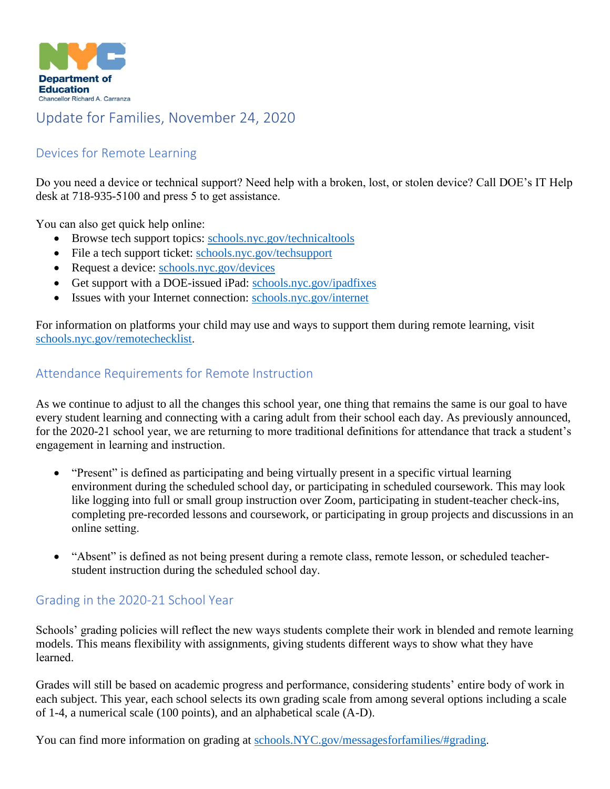

# Update for Families, November 24, 2020

# Devices for Remote Learning

Do you need a device or technical support? Need help with a broken, lost, or stolen device? Call DOE's IT Help desk at 718-935-5100 and press 5 to get assistance.  

You can also get quick help online:  

- Browse tech support topics: schools.nyc.gov/technicaltools
- File a tech support ticket: schools.nyc.gov/techsupport
- Request a device: [schools.nyc.gov/devices](http://schools.nyc.gov/devices)
- Get support with a DOE-issued iPad: schools.nyc.gov/ipadfixes
- Issues with your Internet connection: [schools.nyc.gov/internet](http://schools.nyc.gov/internet)

For information on platforms your child may use and ways to support them during remote learning, visit [schools.nyc.gov/remotechecklist.](http://schools.nyc.gov/remotechecklist) 

#### Attendance Requirements for Remote Instruction

As we continue to adjust to all the changes this school year, one thing that remains the same is our goal to have every student learning and connecting with a caring adult from their school each day. As previously announced, for the 2020-21 school year, we are returning to more traditional definitions for attendance that track a student's engagement in learning and instruction.  

- "Present" is defined as participating and being virtually present in a specific virtual learning environment during the scheduled school day, or participating in scheduled coursework. This may look like logging into full or small group instruction over Zoom, participating in student-teacher check-ins, completing pre-recorded lessons and coursework, or participating in group projects and discussions in an online setting.
- "Absent" is defined as not being present during a remote class, remote lesson, or scheduled teacherstudent instruction during the scheduled school day.

## Grading in the 2020-21 School Year

Schools' grading policies will reflect the new ways students complete their work in blended and remote learning models. This means flexibility with assignments, giving students different ways to show what they have learned.  

Grades will still be based on academic progress and performance, considering students' entire body of work in each subject. This year, each school selects its own grading scale from among several options including a scale of 1-4, a numerical scale (100 points), and an alphabetical scale (A-D).  

You can find more information on grading at [schools.NYC.gov/messagesforfamilies/#grading.](http://schools.nyc.gov/messagesforfamilies/#grading)